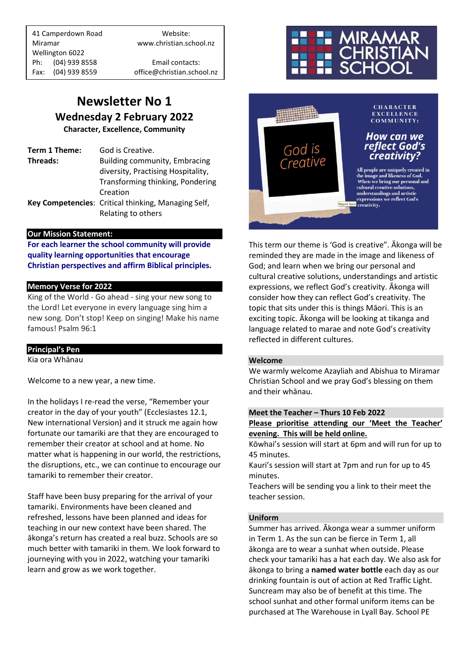41 Camperdown Road Website: Miramar www.christian.school.nz Wellington 6022 Ph: (04) 939 8558 Email contacts: Fax: (04) 939 8559 office@christian.school.nz

### **Newsletter No 1 Wednesday 2 February 2022**

**Character, Excellence, Community**

**Term 1 Theme:** God is Creative. **Threads:** Building community, Embracing diversity, Practising Hospitality, Transforming thinking, Pondering Creation **Key Competencies**: Critical thinking, Managing Self, Relating to others

#### **Our Mission Statement:**

**For each learner the school community will provide quality learning opportunities that encourage Christian perspectives and affirm Biblical principles***.*

#### **Memory Verse for 2022**

King of the World - Go ahead - sing your new song to the Lord! Let everyone in every language sing him a new song. Don't stop! Keep on singing! Make his name famous! Psalm 96:1

#### **Principal's Pen**

Kia ora Whānau

Welcome to a new year, a new time.

In the holidays I re-read the verse, "Remember your creator in the day of your youth" (Ecclesiastes 12.1, New international Version) and it struck me again how fortunate our tamariki are that they are encouraged to remember their creator at school and at home. No matter what is happening in our world, the restrictions, the disruptions, etc., we can continue to encourage our tamariki to remember their creator.

Staff have been busy preparing for the arrival of your tamariki. Environments have been cleaned and refreshed, lessons have been planned and ideas for teaching in our new context have been shared. The ākonga's return has created a real buzz. Schools are so much better with tamariki in them. We look forward to journeying with you in 2022, watching your tamariki learn and grow as we work together.





This term our theme is 'God is creative". Ākonga will be reminded they are made in the image and likeness of God; and learn when we bring our personal and cultural creative solutions, understandings and artistic expressions, we reflect God's creativity. Ākonga will consider how they can reflect God's creativity. The topic that sits under this is things Māori. This is an exciting topic. Ākonga will be looking at tikanga and language related to marae and note God's creativity reflected in different cultures.

#### **Welcome**

We warmly welcome Azayliah and Abishua to Miramar Christian School and we pray God's blessing on them and their whānau.

#### **Meet the Teacher – Thurs 10 Feb 2022**

**Please prioritise attending our 'Meet the Teacher' evening. This will be held online.**

Kōwhai's session will start at 6pm and will run for up to 45 minutes.

Kauri's session will start at 7pm and run for up to 45 minutes.

Teachers will be sending you a link to their meet the teacher session.

#### **Uniform**

Summer has arrived. Ākonga wear a summer uniform in Term 1. As the sun can be fierce in Term 1, all ākonga are to wear a sunhat when outside. Please check your tamariki has a hat each day. We also ask for ākonga to bring a **named water bottle** each day as our drinking fountain is out of action at Red Traffic Light. Suncream may also be of benefit at this time. The school sunhat and other formal uniform items can be purchased at The Warehouse in Lyall Bay. School PE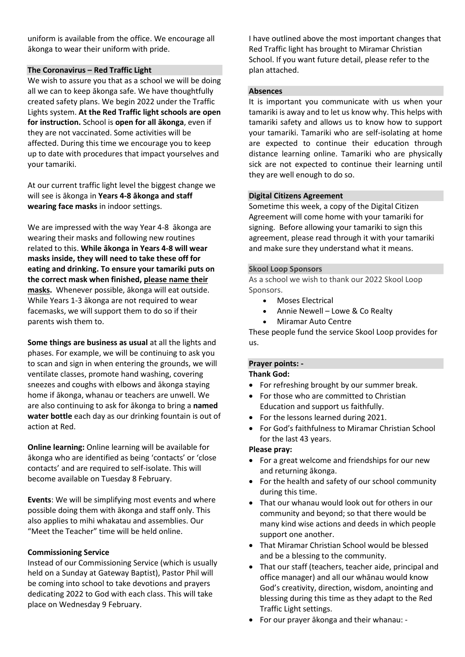uniform is available from the office. We encourage all ākonga to wear their uniform with pride.

#### **The Coronavirus – Red Traffic Light**

We wish to assure you that as a school we will be doing all we can to keep ākonga safe. We have thoughtfully created safety plans. We begin 2022 under the Traffic Lights system. **At the Red Traffic light schools are open for instruction.** School is **open for all ākonga**, even if they are not vaccinated. Some activities will be affected. During this time we encourage you to keep up to date with procedures that impact yourselves and your tamariki.

At our current traffic light level the biggest change we will see is ākonga in **Years 4-8 ākonga and staff wearing face masks** in indoor settings.

We are impressed with the way Year 4-8 ākonga are wearing their masks and following new routines related to this. **While ākonga in Years 4-8 will wear masks inside, they will need to take these off for eating and drinking. To ensure your tamariki puts on the correct mask when finished, please name their masks.** Whenever possible, ākonga will eat outside. While Years 1-3 ākonga are not required to wear facemasks, we will support them to do so if their parents wish them to.

**Some things are business as usual** at all the lights and phases. For example, we will be continuing to ask you to scan and sign in when entering the grounds, we will ventilate classes, promote hand washing, covering sneezes and coughs with elbows and ākonga staying home if ākonga, whanau or teachers are unwell. We are also continuing to ask for ākonga to bring a **named water bottle** each day as our drinking fountain is out of action at Red.

**Online learning:** Online learning will be available for ākonga who are identified as being 'contacts' or 'close contacts' and are required to self-isolate. This will become available on Tuesday 8 February.

**Events**: We will be simplifying most events and where possible doing them with ākonga and staff only. This also applies to mihi whakatau and assemblies. Our "Meet the Teacher" time will be held online.

#### **Commissioning Service**

Instead of our Commissioning Service (which is usually held on a Sunday at Gateway Baptist), Pastor Phil will be coming into school to take devotions and prayers dedicating 2022 to God with each class. This will take place on Wednesday 9 February.

I have outlined above the most important changes that Red Traffic light has brought to Miramar Christian School. If you want future detail, please refer to the plan attached.

#### **Absences**

It is important you communicate with us when your tamariki is away and to let us know why. This helps with tamariki safety and allows us to know how to support your tamariki. Tamariki who are self-isolating at home are expected to continue their education through distance learning online. Tamariki who are physically sick are not expected to continue their learning until they are well enough to do so.

#### **Digital Citizens Agreement**

Sometime this week, a copy of the Digital Citizen Agreement will come home with your tamariki for signing. Before allowing your tamariki to sign this agreement, please read through it with your tamariki and make sure they understand what it means.

#### **Skool Loop Sponsors**

As a school we wish to thank our 2022 Skool Loop Sponsors.

- Moses Electrical
- Annie Newell Lowe & Co Realty
- Miramar Auto Centre

These people fund the service Skool Loop provides for us.

#### **Prayer points: -**

#### **Thank God:**

- For refreshing brought by our summer break.
- For those who are committed to Christian Education and support us faithfully.
- For the lessons learned during 2021.
- For God's faithfulness to Miramar Christian School for the last 43 years.

#### **Please pray:**

- For a great welcome and friendships for our new and returning ākonga.
- For the health and safety of our school community during this time.
- That our whanau would look out for others in our community and beyond; so that there would be many kind wise actions and deeds in which people support one another.
- That Miramar Christian School would be blessed and be a blessing to the community.
- That our staff (teachers, teacher aide, principal and office manager) and all our whānau would know God's creativity, direction, wisdom, anointing and blessing during this time as they adapt to the Red Traffic Light settings.
- For our prayer ākonga and their whanau: -